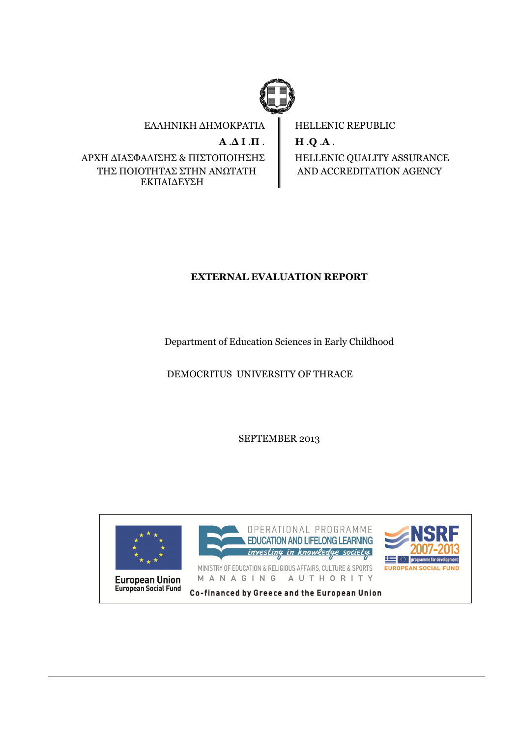

ΕΛΛΗΝΙΚΗ ∆ΗΜΟΚΡΑΤΙΑ  $A \Delta I \Pi$ . ΑΡΧΗ ∆ΙΑΣΦΑΛΙΣΗΣ & ΠΙΣΤΟΠΟΙΗΣΗΣ ΤΗΣ ΠΟΙΟΤΗΤΑΣ ΣΤΗΝ ΑΝΩΤΑΤΗ ΕΚΠΑΙ∆ΕΥΣΗ

HELLENIC REPUBLIC H .Q .A . HELLENIC QUALITY ASSURANCE AND ACCREDITATION AGENCY

# EXTERNAL EVALUATION REPORT

Department of Education Sciences in Early Childhood

DEMOCRITUS UNIVERSITY OF THRACE

SEPTEMBER 2013

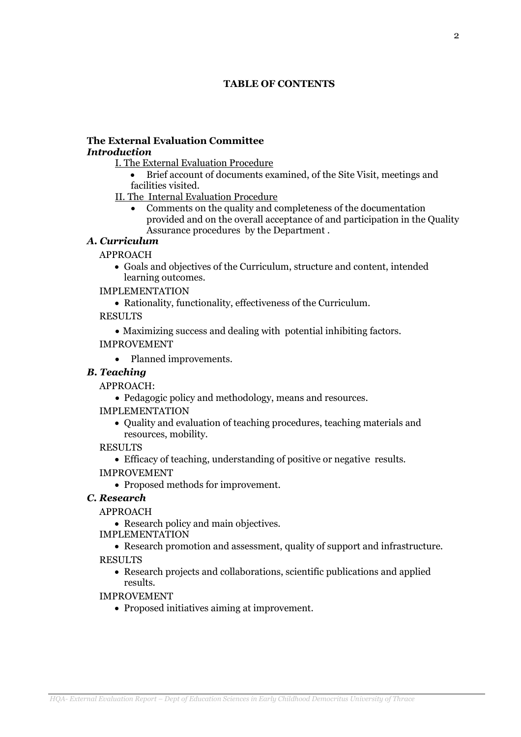# TABLE OF CONTENTS

#### The External Evaluation Committee Introduction

I. The External Evaluation Procedure

- Brief account of documents examined, of the Site Visit, meetings and facilities visited.
- II. The Internal Evaluation Procedure
	- Comments on the quality and completeness of the documentation provided and on the overall acceptance of and participation in the Quality Assurance procedures by the Department .

## Α. Curriculum

# APPROACH

- Goals and objectives of the Curriculum, structure and content, intended learning outcomes.
- IMPLEMENTATION
	- Rationality, functionality, effectiveness of the Curriculum.

RESULTS

• Maximizing success and dealing with potential inhibiting factors.

# IMPROVEMENT

• Planned improvements.

# B. Teaching

APPROACH:

- Pedagogic policy and methodology, means and resources.
- IMPLEMENTATION
	- Quality and evaluation of teaching procedures, teaching materials and resources, mobility.
- RESULTS
	- Efficacy of teaching, understanding of positive or negative results.
- IMPROVEMENT
	- Proposed methods for improvement.

## C. Research

APPROACH

- Research policy and main objectives.
- IMPLEMENTATION
- Research promotion and assessment, quality of support and infrastructure. RESULTS
	- Research projects and collaborations, scientific publications and applied results.

IMPROVEMENT

• Proposed initiatives aiming at improvement.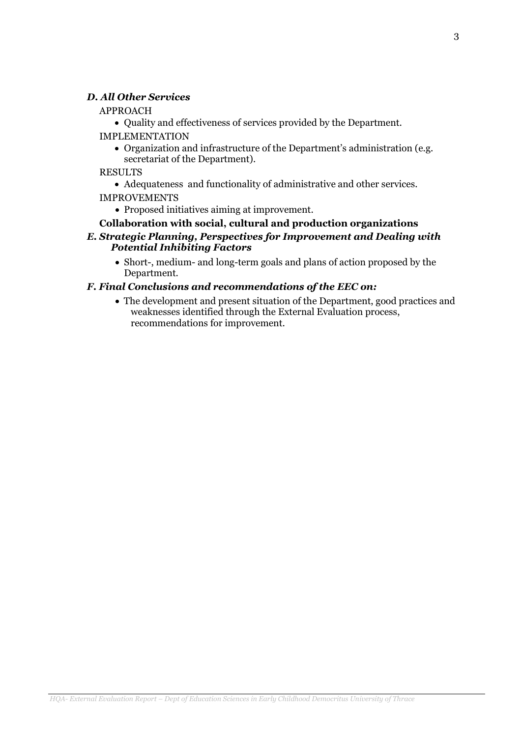### D. All Other Services

#### APPROACH

• Quality and effectiveness of services provided by the Department.

IMPLEMENTATION

- Organization and infrastructure of the Department's administration (e.g. secretariat of the Department).
- RESULTS
	- Adequateness and functionality of administrative and other services.

### IMPROVEMENTS

• Proposed initiatives aiming at improvement.

### Collaboration with social, cultural and production organizations E. Strategic Planning, Perspectives for Improvement and Dealing with Potential Inhibiting Factors

• Short-, medium- and long-term goals and plans of action proposed by the Department.

## F. Final Conclusions and recommendations of the EEC on:

• The development and present situation of the Department, good practices and weaknesses identified through the External Evaluation process, recommendations for improvement.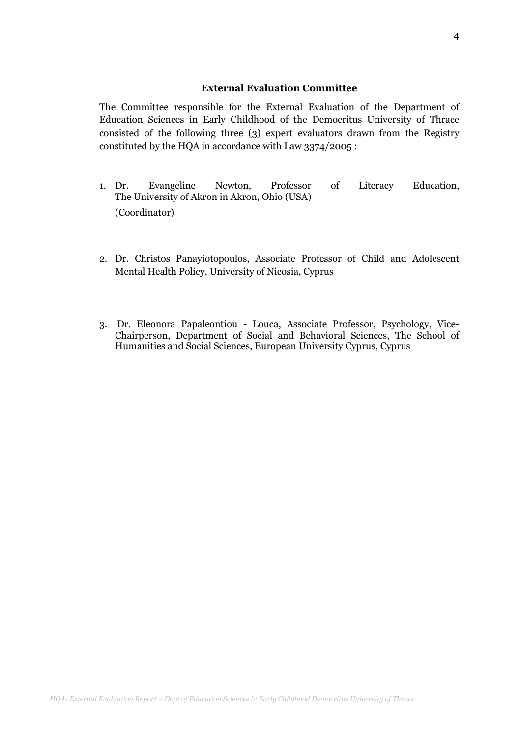#### External Evaluation Committee

The Committee responsible for the External Evaluation of the Department of Education Sciences in Early Childhood of the Democritus University of Thrace consisted of the following three (3) expert evaluators drawn from the Registry constituted by the HQA in accordance with Law 3374/2005 :

- 1. Dr. Evangeline Newton, Professor of Literacy Education, The University of Akron in Akron, Ohio (USA) (Coordinator)
- 2. Dr. Christos Panayiotopoulos, Associate Professor of Child and Adolescent Mental Health Policy, University of Nicosia, Cyprus
- 3. Dr. Eleonora Papaleontiou Louca, Associate Professor, Psychology, Vice-Chairperson, Department of Social and Behavioral Sciences, The School of Humanities and Social Sciences, European University Cyprus, Cyprus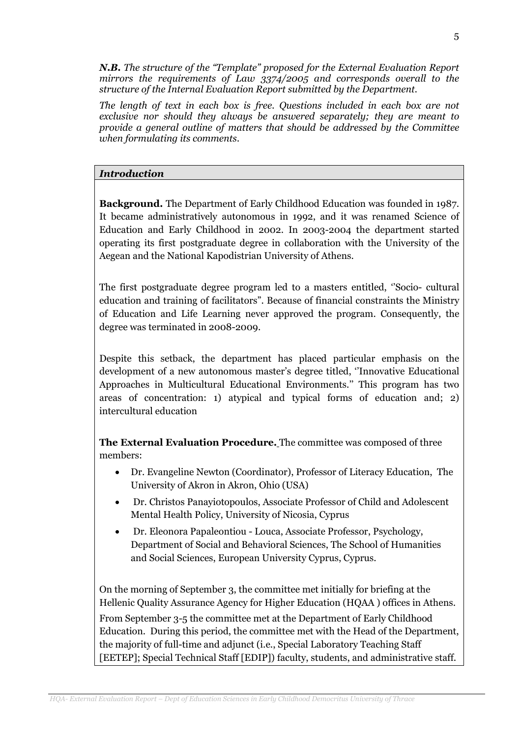N.B. The structure of the "Template" proposed for the External Evaluation Report mirrors the requirements of Law 3374/2005 and corresponds overall to the structure of the Internal Evaluation Report submitted by the Department.

The length of text in each box is free. Questions included in each box are not exclusive nor should they always be answered separately; they are meant to provide a general outline of matters that should be addressed by the Committee when formulating its comments.

#### Introduction

Background. The Department of Early Childhood Education was founded in 1987. It became administratively autonomous in 1992, and it was renamed Science of Education and Early Childhood in 2002. In 2003-2004 the department started operating its first postgraduate degree in collaboration with the University of the Aegean and the National Kapodistrian University of Athens.

The first postgraduate degree program led to a masters entitled, ''Socio- cultural education and training of facilitators". Because of financial constraints the Ministry of Education and Life Learning never approved the program. Consequently, the degree was terminated in 2008-2009.

Despite this setback, the department has placed particular emphasis on the development of a new autonomous master's degree titled, ''Innovative Educational Approaches in Multicultural Educational Environments.'' This program has two areas of concentration: 1) atypical and typical forms of education and; 2) intercultural education

The External Evaluation Procedure. The committee was composed of three members:

- Dr. Evangeline Newton (Coordinator), Professor of Literacy Education, The University of Akron in Akron, Ohio (USA)
- Dr. Christos Panayiotopoulos, Associate Professor of Child and Adolescent Mental Health Policy, University of Nicosia, Cyprus
- Dr. Eleonora Papaleontiou Louca, Associate Professor, Psychology, Department of Social and Behavioral Sciences, The School of Humanities and Social Sciences, European University Cyprus, Cyprus.

On the morning of September 3, the committee met initially for briefing at the Hellenic Quality Assurance Agency for Higher Education (HQAA ) offices in Athens. From September 3-5 the committee met at the Department of Early Childhood Education. During this period, the committee met with the Head of the Department, the majority of full-time and adjunct (i.e., Special Laboratory Teaching Staff

[EETEP]; Special Technical Staff [EDIP]) faculty, students, and administrative staff.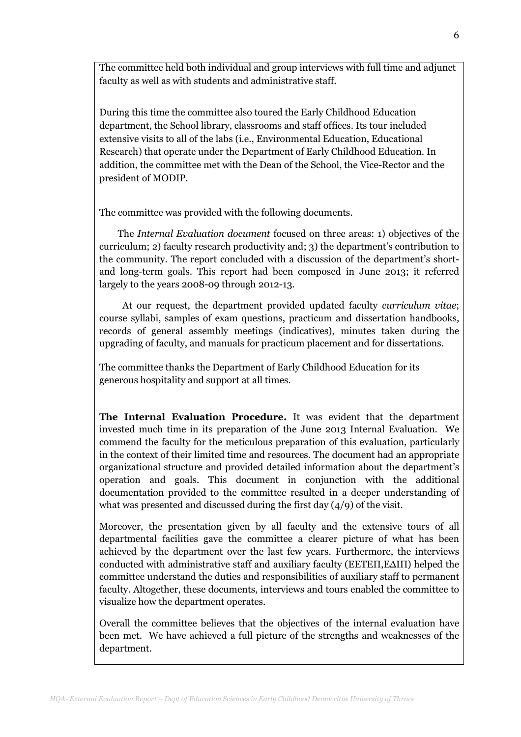The committee held both individual and group interviews with full time and adjunct faculty as well as with students and administrative staff.

During this time the committee also toured the Early Childhood Education department, the School library, classrooms and staff offices. Its tour included extensive visits to all of the labs (i.e., Environmental Education, Educational Research) that operate under the Department of Early Childhood Education. In addition, the committee met with the Dean of the School, the Vice-Rector and the president of MODIP.

The committee was provided with the following documents.

 The Internal Evaluation document focused on three areas: 1) objectives of the curriculum; 2) faculty research productivity and; 3) the department's contribution to the community. The report concluded with a discussion of the department's shortand long-term goals. This report had been composed in June 2013; it referred largely to the years 2008-09 through 2012-13.

 At our request, the department provided updated faculty curriculum vitae; course syllabi, samples of exam questions, practicum and dissertation handbooks, records of general assembly meetings (indicatives), minutes taken during the upgrading of faculty, and manuals for practicum placement and for dissertations.

The committee thanks the Department of Early Childhood Education for its generous hospitality and support at all times.

The Internal Evaluation Procedure. It was evident that the department invested much time in its preparation of the June 2013 Internal Evaluation. We commend the faculty for the meticulous preparation of this evaluation, particularly in the context of their limited time and resources. The document had an appropriate organizational structure and provided detailed information about the department's operation and goals. This document in conjunction with the additional documentation provided to the committee resulted in a deeper understanding of what was presented and discussed during the first day (4/9) of the visit.

Moreover, the presentation given by all faculty and the extensive tours of all departmental facilities gave the committee a clearer picture of what has been achieved by the department over the last few years. Furthermore, the interviews conducted with administrative staff and auxiliary faculty (ΕΕΤΕΠ,Ε∆ΙΠ) helped the committee understand the duties and responsibilities of auxiliary staff to permanent faculty. Altogether, these documents, interviews and tours enabled the committee to visualize how the department operates.

Overall the committee believes that the objectives of the internal evaluation have been met. We have achieved a full picture of the strengths and weaknesses of the department.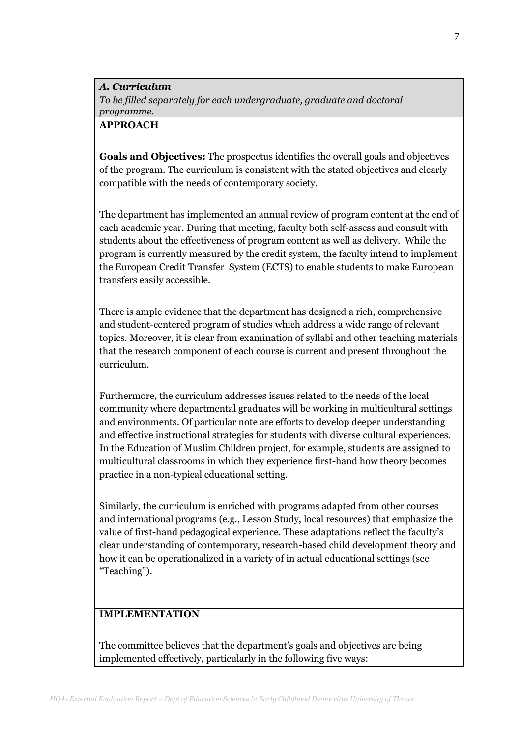Α. Curriculum To be filled separately for each undergraduate, graduate and doctoral programme.

## APPROACH

Goals and Objectives: The prospectus identifies the overall goals and objectives of the program. The curriculum is consistent with the stated objectives and clearly compatible with the needs of contemporary society.

The department has implemented an annual review of program content at the end of each academic year. During that meeting, faculty both self-assess and consult with students about the effectiveness of program content as well as delivery. While the program is currently measured by the credit system, the faculty intend to implement the European Credit Transfer System (ECTS) to enable students to make European transfers easily accessible.

There is ample evidence that the department has designed a rich, comprehensive and student-centered program of studies which address a wide range of relevant topics. Moreover, it is clear from examination of syllabi and other teaching materials that the research component of each course is current and present throughout the curriculum.

Furthermore, the curriculum addresses issues related to the needs of the local community where departmental graduates will be working in multicultural settings and environments. Of particular note are efforts to develop deeper understanding and effective instructional strategies for students with diverse cultural experiences. In the Education of Muslim Children project, for example, students are assigned to multicultural classrooms in which they experience first-hand how theory becomes practice in a non-typical educational setting.

Similarly, the curriculum is enriched with programs adapted from other courses and international programs (e.g., Lesson Study, local resources) that emphasize the value of first-hand pedagogical experience. These adaptations reflect the faculty's clear understanding of contemporary, research-based child development theory and how it can be operationalized in a variety of in actual educational settings (see "Teaching").

# IMPLEMENTATION

The committee believes that the department's goals and objectives are being implemented effectively, particularly in the following five ways: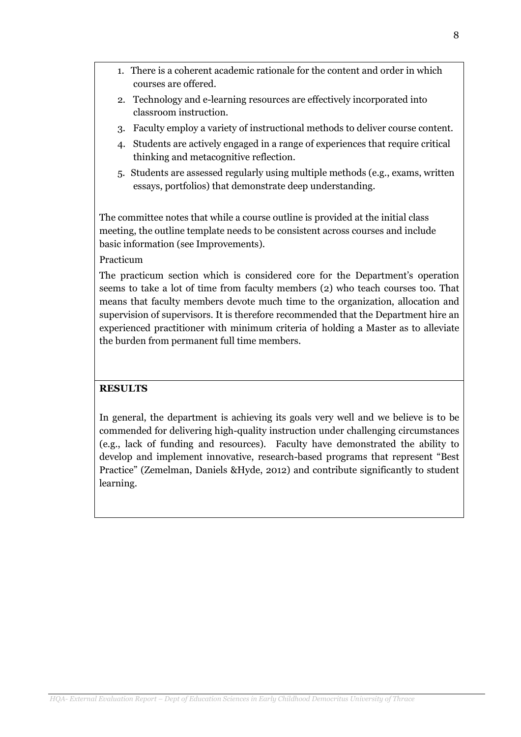- 1. There is a coherent academic rationale for the content and order in which courses are offered.
- 2. Technology and e-learning resources are effectively incorporated into classroom instruction.
- 3. Faculty employ a variety of instructional methods to deliver course content.
- 4. Students are actively engaged in a range of experiences that require critical thinking and metacognitive reflection.
- 5. Students are assessed regularly using multiple methods (e.g., exams, written essays, portfolios) that demonstrate deep understanding.

The committee notes that while a course outline is provided at the initial class meeting, the outline template needs to be consistent across courses and include basic information (see Improvements).

#### Practicum

The practicum section which is considered core for the Department's operation seems to take a lot of time from faculty members (2) who teach courses too. That means that faculty members devote much time to the organization, allocation and supervision of supervisors. It is therefore recommended that the Department hire an experienced practitioner with minimum criteria of holding a Master as to alleviate the burden from permanent full time members.

### **RESULTS**

In general, the department is achieving its goals very well and we believe is to be commended for delivering high-quality instruction under challenging circumstances (e.g., lack of funding and resources). Faculty have demonstrated the ability to develop and implement innovative, research-based programs that represent "Best Practice" (Zemelman, Daniels &Hyde, 2012) and contribute significantly to student learning.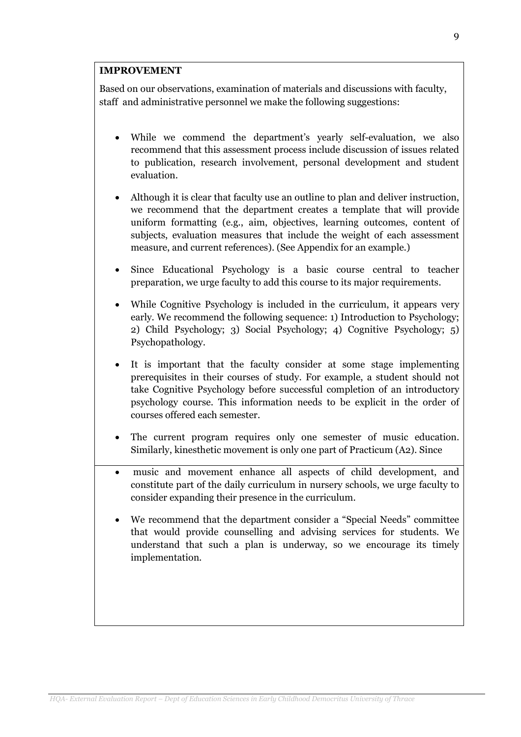#### IMPROVEMENT

Based on our observations, examination of materials and discussions with faculty, staff and administrative personnel we make the following suggestions:

- While we commend the department's yearly self-evaluation, we also recommend that this assessment process include discussion of issues related to publication, research involvement, personal development and student evaluation.
- Although it is clear that faculty use an outline to plan and deliver instruction, we recommend that the department creates a template that will provide uniform formatting (e.g., aim, objectives, learning outcomes, content of subjects, evaluation measures that include the weight of each assessment measure, and current references). (See Appendix for an example.)
- Since Educational Psychology is a basic course central to teacher preparation, we urge faculty to add this course to its major requirements.
- While Cognitive Psychology is included in the curriculum, it appears very early. We recommend the following sequence: 1) Introduction to Psychology; 2) Child Psychology; 3) Social Psychology; 4) Cognitive Psychology; 5) Psychopathology.
- It is important that the faculty consider at some stage implementing prerequisites in their courses of study. For example, a student should not take Cognitive Psychology before successful completion of an introductory psychology course. This information needs to be explicit in the order of courses offered each semester.
- The current program requires only one semester of music education. Similarly, kinesthetic movement is only one part of Practicum (A2). Since
- music and movement enhance all aspects of child development, and constitute part of the daily curriculum in nursery schools, we urge faculty to consider expanding their presence in the curriculum.
- We recommend that the department consider a "Special Needs" committee that would provide counselling and advising services for students. We understand that such a plan is underway, so we encourage its timely implementation.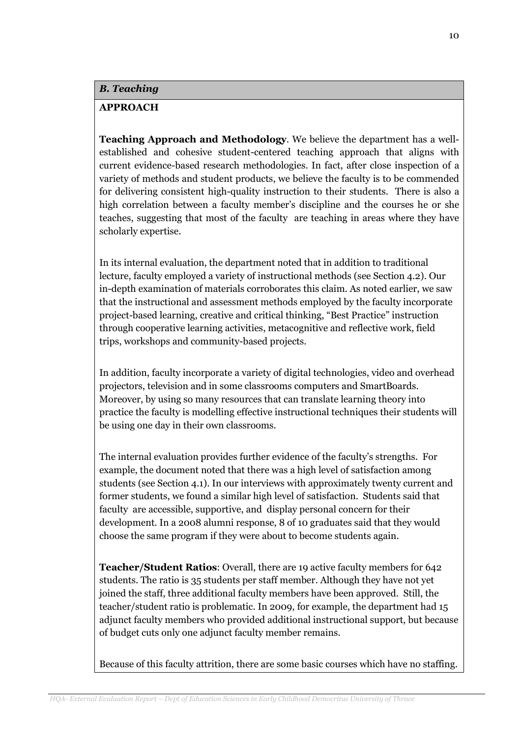#### B. Teaching

### APPROACH

Teaching Approach and Methodology. We believe the department has a wellestablished and cohesive student-centered teaching approach that aligns with current evidence-based research methodologies. In fact, after close inspection of a variety of methods and student products, we believe the faculty is to be commended for delivering consistent high-quality instruction to their students. There is also a high correlation between a faculty member's discipline and the courses he or she teaches, suggesting that most of the faculty are teaching in areas where they have scholarly expertise.

In its internal evaluation, the department noted that in addition to traditional lecture, faculty employed a variety of instructional methods (see Section 4.2). Our in-depth examination of materials corroborates this claim. As noted earlier, we saw that the instructional and assessment methods employed by the faculty incorporate project-based learning, creative and critical thinking, "Best Practice" instruction through cooperative learning activities, metacognitive and reflective work, field trips, workshops and community-based projects.

In addition, faculty incorporate a variety of digital technologies, video and overhead projectors, television and in some classrooms computers and SmartBoards. Moreover, by using so many resources that can translate learning theory into practice the faculty is modelling effective instructional techniques their students will be using one day in their own classrooms.

The internal evaluation provides further evidence of the faculty's strengths. For example, the document noted that there was a high level of satisfaction among students (see Section 4.1). In our interviews with approximately twenty current and former students, we found a similar high level of satisfaction. Students said that faculty are accessible, supportive, and display personal concern for their development. In a 2008 alumni response, 8 of 10 graduates said that they would choose the same program if they were about to become students again.

Teacher/Student Ratios: Overall, there are 19 active faculty members for 642 students. The ratio is 35 students per staff member. Although they have not yet joined the staff, three additional faculty members have been approved. Still, the teacher/student ratio is problematic. In 2009, for example, the department had 15 adjunct faculty members who provided additional instructional support, but because of budget cuts only one adjunct faculty member remains.

Because of this faculty attrition, there are some basic courses which have no staffing.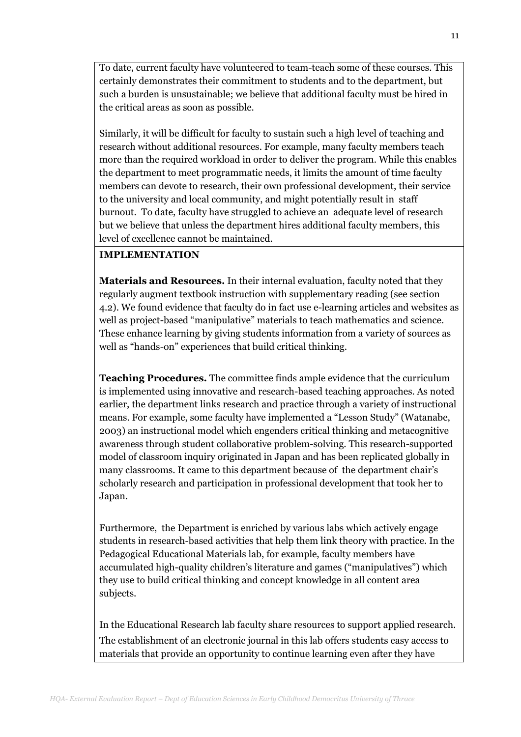To date, current faculty have volunteered to team-teach some of these courses. This certainly demonstrates their commitment to students and to the department, but such a burden is unsustainable; we believe that additional faculty must be hired in the critical areas as soon as possible.

Similarly, it will be difficult for faculty to sustain such a high level of teaching and research without additional resources. For example, many faculty members teach more than the required workload in order to deliver the program. While this enables the department to meet programmatic needs, it limits the amount of time faculty members can devote to research, their own professional development, their service to the university and local community, and might potentially result in staff burnout. To date, faculty have struggled to achieve an adequate level of research but we believe that unless the department hires additional faculty members, this level of excellence cannot be maintained.

## IMPLEMENTATION

Materials and Resources. In their internal evaluation, faculty noted that they regularly augment textbook instruction with supplementary reading (see section 4.2). We found evidence that faculty do in fact use e-learning articles and websites as well as project-based "manipulative" materials to teach mathematics and science. These enhance learning by giving students information from a variety of sources as well as "hands-on" experiences that build critical thinking.

Teaching Procedures. The committee finds ample evidence that the curriculum is implemented using innovative and research-based teaching approaches. As noted earlier, the department links research and practice through a variety of instructional means. For example, some faculty have implemented a "Lesson Study" (Watanabe, 2003) an instructional model which engenders critical thinking and metacognitive awareness through student collaborative problem-solving. This research-supported model of classroom inquiry originated in Japan and has been replicated globally in many classrooms. It came to this department because of the department chair's scholarly research and participation in professional development that took her to Japan.

Furthermore, the Department is enriched by various labs which actively engage students in research-based activities that help them link theory with practice. In the Pedagogical Educational Materials lab, for example, faculty members have accumulated high-quality children's literature and games ("manipulatives") which they use to build critical thinking and concept knowledge in all content area subjects.

In the Educational Research lab faculty share resources to support applied research. The establishment of an electronic journal in this lab offers students easy access to materials that provide an opportunity to continue learning even after they have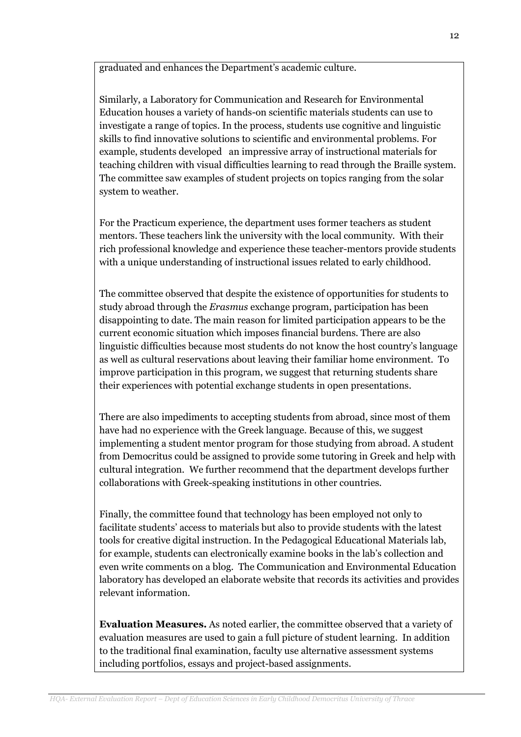graduated and enhances the Department's academic culture.

Similarly, a Laboratory for Communication and Research for Environmental Education houses a variety of hands-on scientific materials students can use to investigate a range of topics. In the process, students use cognitive and linguistic skills to find innovative solutions to scientific and environmental problems. For example, students developed an impressive array of instructional materials for teaching children with visual difficulties learning to read through the Braille system. The committee saw examples of student projects on topics ranging from the solar system to weather.

For the Practicum experience, the department uses former teachers as student mentors. These teachers link the university with the local community. With their rich professional knowledge and experience these teacher-mentors provide students with a unique understanding of instructional issues related to early childhood.

The committee observed that despite the existence of opportunities for students to study abroad through the Erasmus exchange program, participation has been disappointing to date. The main reason for limited participation appears to be the current economic situation which imposes financial burdens. There are also linguistic difficulties because most students do not know the host country's language as well as cultural reservations about leaving their familiar home environment. To improve participation in this program, we suggest that returning students share their experiences with potential exchange students in open presentations.

There are also impediments to accepting students from abroad, since most of them have had no experience with the Greek language. Because of this, we suggest implementing a student mentor program for those studying from abroad. A student from Democritus could be assigned to provide some tutoring in Greek and help with cultural integration. We further recommend that the department develops further collaborations with Greek-speaking institutions in other countries.

Finally, the committee found that technology has been employed not only to facilitate students' access to materials but also to provide students with the latest tools for creative digital instruction. In the Pedagogical Educational Materials lab, for example, students can electronically examine books in the lab's collection and even write comments on a blog. The Communication and Environmental Education laboratory has developed an elaborate website that records its activities and provides relevant information.

Evaluation Measures. As noted earlier, the committee observed that a variety of evaluation measures are used to gain a full picture of student learning. In addition to the traditional final examination, faculty use alternative assessment systems including portfolios, essays and project-based assignments.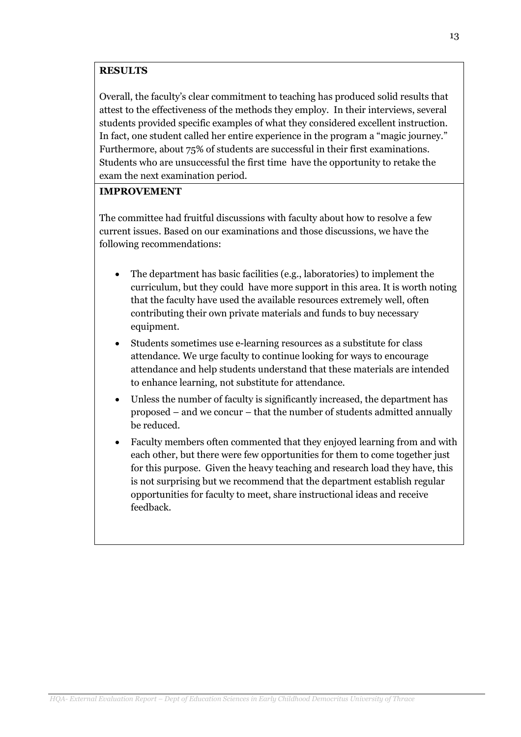### **RESULTS**

Overall, the faculty's clear commitment to teaching has produced solid results that attest to the effectiveness of the methods they employ. In their interviews, several students provided specific examples of what they considered excellent instruction. In fact, one student called her entire experience in the program a "magic journey." Furthermore, about 75% of students are successful in their first examinations. Students who are unsuccessful the first time have the opportunity to retake the exam the next examination period.

### IMPROVEMENT

The committee had fruitful discussions with faculty about how to resolve a few current issues. Based on our examinations and those discussions, we have the following recommendations:

- The department has basic facilities (e.g., laboratories) to implement the curriculum, but they could have more support in this area. It is worth noting that the faculty have used the available resources extremely well, often contributing their own private materials and funds to buy necessary equipment.
- Students sometimes use e-learning resources as a substitute for class attendance. We urge faculty to continue looking for ways to encourage attendance and help students understand that these materials are intended to enhance learning, not substitute for attendance.
- Unless the number of faculty is significantly increased, the department has proposed – and we concur – that the number of students admitted annually be reduced.
- Faculty members often commented that they enjoyed learning from and with each other, but there were few opportunities for them to come together just for this purpose. Given the heavy teaching and research load they have, this is not surprising but we recommend that the department establish regular opportunities for faculty to meet, share instructional ideas and receive feedback.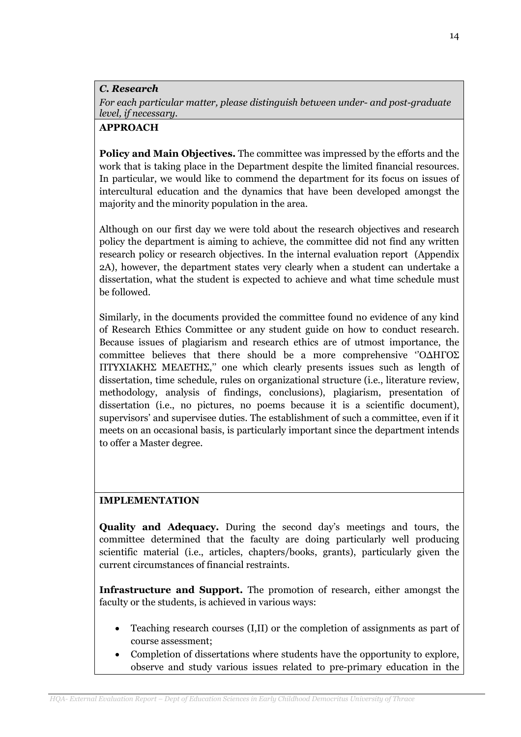C. Research

For each particular matter, please distinguish between under- and post-graduate level, if necessary.

## APPROACH

Policy and Main Objectives. The committee was impressed by the efforts and the work that is taking place in the Department despite the limited financial resources. In particular, we would like to commend the department for its focus on issues of intercultural education and the dynamics that have been developed amongst the majority and the minority population in the area.

Although on our first day we were told about the research objectives and research policy the department is aiming to achieve, the committee did not find any written research policy or research objectives. In the internal evaluation report (Appendix 2A), however, the department states very clearly when a student can undertake a dissertation, what the student is expected to achieve and what time schedule must be followed.

Similarly, in the documents provided the committee found no evidence of any kind of Research Ethics Committee or any student guide on how to conduct research. Because issues of plagiarism and research ethics are of utmost importance, the committee believes that there should be a more comprehensive ''Ο∆ΗΓΟΣ ΠΤΥΧΙΑΚΗΣ ΜΕΛΕΤΗΣ,'' one which clearly presents issues such as length of dissertation, time schedule, rules on organizational structure (i.e., literature review, methodology, analysis of findings, conclusions), plagiarism, presentation of dissertation (i.e., no pictures, no poems because it is a scientific document), supervisors' and supervisee duties. The establishment of such a committee, even if it meets on an occasional basis, is particularly important since the department intends to offer a Master degree.

## IMPLEMENTATION

Quality and Adequacy. During the second day's meetings and tours, the committee determined that the faculty are doing particularly well producing scientific material (i.e., articles, chapters/books, grants), particularly given the current circumstances of financial restraints.

Infrastructure and Support. The promotion of research, either amongst the faculty or the students, is achieved in various ways:

- Teaching research courses (I,II) or the completion of assignments as part of course assessment;
- Completion of dissertations where students have the opportunity to explore, observe and study various issues related to pre-primary education in the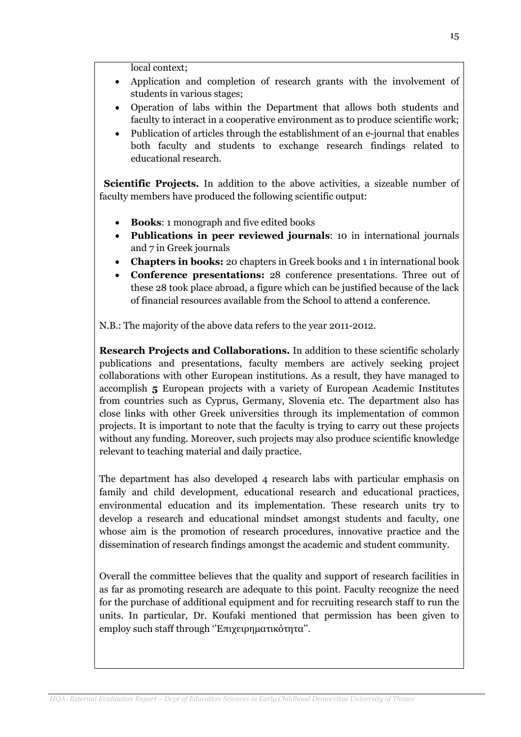local context;

- Application and completion of research grants with the involvement of students in various stages;
- Operation of labs within the Department that allows both students and faculty to interact in a cooperative environment as to produce scientific work;
- Publication of articles through the establishment of an e-journal that enables both faculty and students to exchange research findings related to educational research.

 Scientific Projects. In addition to the above activities, a sizeable number of faculty members have produced the following scientific output:

- Books: 1 monograph and five edited books
- Publications in peer reviewed journals: 10 in international journals and 7 in Greek journals
- Chapters in books: 20 chapters in Greek books and 1 in international book
- Conference presentations: 28 conference presentations. Three out of these 28 took place abroad, a figure which can be justified because of the lack of financial resources available from the School to attend a conference.

N.B.: The majority of the above data refers to the year 2011-2012.

Research Projects and Collaborations. In addition to these scientific scholarly publications and presentations, faculty members are actively seeking project collaborations with other European institutions. As a result, they have managed to accomplish 5 European projects with a variety of European Academic Institutes from countries such as Cyprus, Germany, Slovenia etc. The department also has close links with other Greek universities through its implementation of common projects. It is important to note that the faculty is trying to carry out these projects without any funding. Moreover, such projects may also produce scientific knowledge relevant to teaching material and daily practice.

The department has also developed 4 research labs with particular emphasis on family and child development, educational research and educational practices, environmental education and its implementation. These research units try to develop a research and educational mindset amongst students and faculty, one whose aim is the promotion of research procedures, innovative practice and the dissemination of research findings amongst the academic and student community.

Overall the committee believes that the quality and support of research facilities in as far as promoting research are adequate to this point. Faculty recognize the need for the purchase of additional equipment and for recruiting research staff to run the units. In particular, Dr. Koufaki mentioned that permission has been given to employ such staff through "Επιχειρηματικότητα".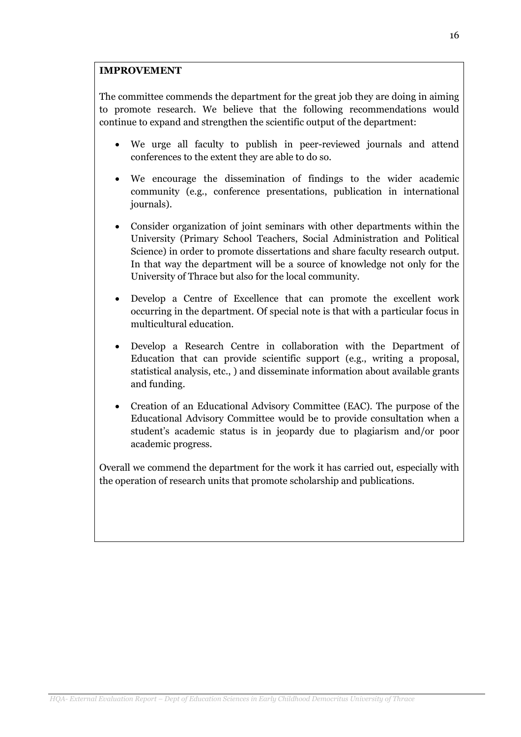## IMPROVEMENT

The committee commends the department for the great job they are doing in aiming to promote research. We believe that the following recommendations would continue to expand and strengthen the scientific output of the department:

- We urge all faculty to publish in peer-reviewed journals and attend conferences to the extent they are able to do so.
- We encourage the dissemination of findings to the wider academic community (e.g., conference presentations, publication in international journals).
- Consider organization of joint seminars with other departments within the University (Primary School Teachers, Social Administration and Political Science) in order to promote dissertations and share faculty research output. In that way the department will be a source of knowledge not only for the University of Thrace but also for the local community.
- Develop a Centre of Excellence that can promote the excellent work occurring in the department. Of special note is that with a particular focus in multicultural education.
- Develop a Research Centre in collaboration with the Department of Education that can provide scientific support (e.g., writing a proposal, statistical analysis, etc., ) and disseminate information about available grants and funding.
- Creation of an Educational Advisory Committee (EAC). The purpose of the Educational Advisory Committee would be to provide consultation when a student's academic status is in jeopardy due to plagiarism and/or poor academic progress.

Overall we commend the department for the work it has carried out, especially with the operation of research units that promote scholarship and publications.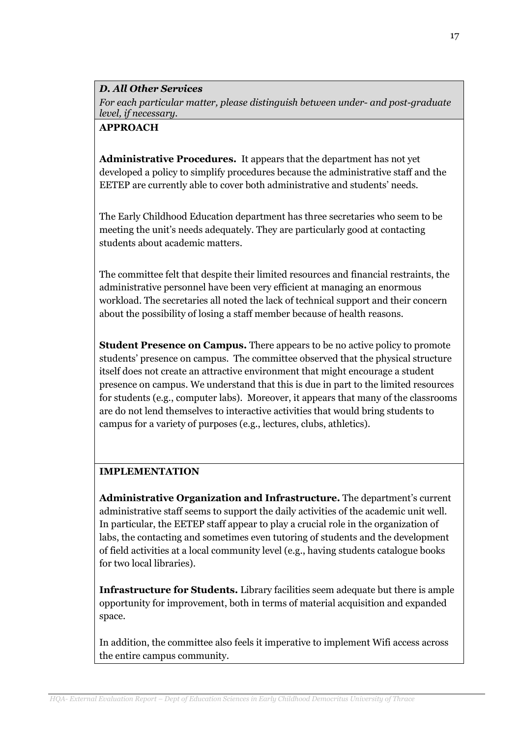## D. All Other Services

For each particular matter, please distinguish between under- and post-graduate level, if necessary.

## APPROACH

Administrative Procedures. It appears that the department has not vet developed a policy to simplify procedures because the administrative staff and the EETEP are currently able to cover both administrative and students' needs.

The Early Childhood Education department has three secretaries who seem to be meeting the unit's needs adequately. They are particularly good at contacting students about academic matters.

The committee felt that despite their limited resources and financial restraints, the administrative personnel have been very efficient at managing an enormous workload. The secretaries all noted the lack of technical support and their concern about the possibility of losing a staff member because of health reasons.

**Student Presence on Campus.** There appears to be no active policy to promote students' presence on campus. The committee observed that the physical structure itself does not create an attractive environment that might encourage a student presence on campus. We understand that this is due in part to the limited resources for students (e.g., computer labs). Moreover, it appears that many of the classrooms are do not lend themselves to interactive activities that would bring students to campus for a variety of purposes (e.g., lectures, clubs, athletics).

# IMPLEMENTATION

Administrative Organization and Infrastructure. The department's current administrative staff seems to support the daily activities of the academic unit well. In particular, the EETEP staff appear to play a crucial role in the organization of labs, the contacting and sometimes even tutoring of students and the development of field activities at a local community level (e.g., having students catalogue books for two local libraries).

Infrastructure for Students. Library facilities seem adequate but there is ample opportunity for improvement, both in terms of material acquisition and expanded space.

In addition, the committee also feels it imperative to implement Wifi access across the entire campus community.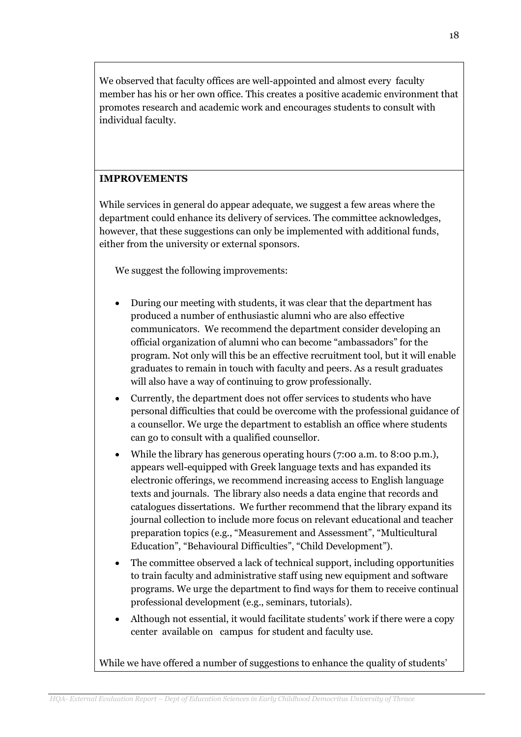We observed that faculty offices are well-appointed and almost every faculty member has his or her own office. This creates a positive academic environment that promotes research and academic work and encourages students to consult with individual faculty.

## IMPROVEMENTS

While services in general do appear adequate, we suggest a few areas where the department could enhance its delivery of services. The committee acknowledges, however, that these suggestions can only be implemented with additional funds, either from the university or external sponsors.

We suggest the following improvements:

- During our meeting with students, it was clear that the department has produced a number of enthusiastic alumni who are also effective communicators. We recommend the department consider developing an official organization of alumni who can become "ambassadors" for the program. Not only will this be an effective recruitment tool, but it will enable graduates to remain in touch with faculty and peers. As a result graduates will also have a way of continuing to grow professionally.
- Currently, the department does not offer services to students who have personal difficulties that could be overcome with the professional guidance of a counsellor. We urge the department to establish an office where students can go to consult with a qualified counsellor.
- While the library has generous operating hours (7:00 a.m. to 8:00 p.m.), appears well-equipped with Greek language texts and has expanded its electronic offerings, we recommend increasing access to English language texts and journals. The library also needs a data engine that records and catalogues dissertations. We further recommend that the library expand its journal collection to include more focus on relevant educational and teacher preparation topics (e.g., "Measurement and Assessment", "Multicultural Education", "Behavioural Difficulties", "Child Development").
- The committee observed a lack of technical support, including opportunities to train faculty and administrative staff using new equipment and software programs. We urge the department to find ways for them to receive continual professional development (e.g., seminars, tutorials).
- Although not essential, it would facilitate students' work if there were a copy center available on campus for student and faculty use.

While we have offered a number of suggestions to enhance the quality of students'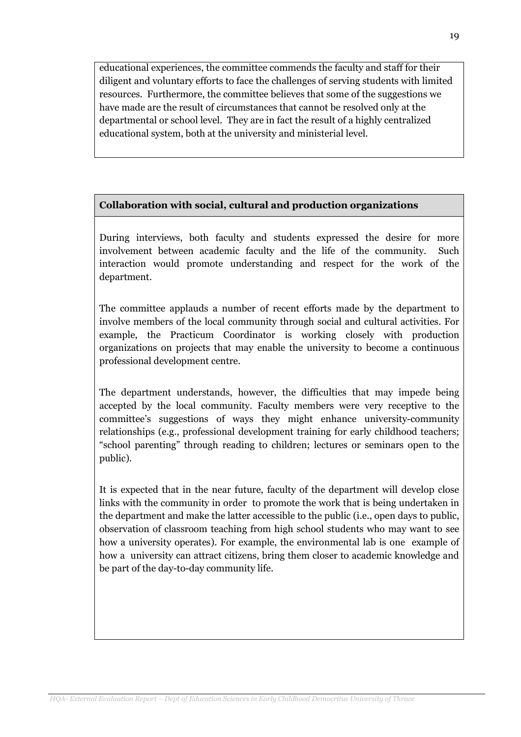educational experiences, the committee commends the faculty and staff for their diligent and voluntary efforts to face the challenges of serving students with limited resources. Furthermore, the committee believes that some of the suggestions we have made are the result of circumstances that cannot be resolved only at the departmental or school level. They are in fact the result of a highly centralized educational system, both at the university and ministerial level.

# Collaboration with social, cultural and production organizations

During interviews, both faculty and students expressed the desire for more involvement between academic faculty and the life of the community. Such interaction would promote understanding and respect for the work of the department.

The committee applauds a number of recent efforts made by the department to involve members of the local community through social and cultural activities. For example, the Practicum Coordinator is working closely with production organizations on projects that may enable the university to become a continuous professional development centre.

The department understands, however, the difficulties that may impede being accepted by the local community. Faculty members were very receptive to the committee's suggestions of ways they might enhance university-community relationships (e.g., professional development training for early childhood teachers; "school parenting" through reading to children; lectures or seminars open to the public).

It is expected that in the near future, faculty of the department will develop close links with the community in order to promote the work that is being undertaken in the department and make the latter accessible to the public (i.e., open days to public, observation of classroom teaching from high school students who may want to see how a university operates). For example, the environmental lab is one example of how a university can attract citizens, bring them closer to academic knowledge and be part of the day-to-day community life.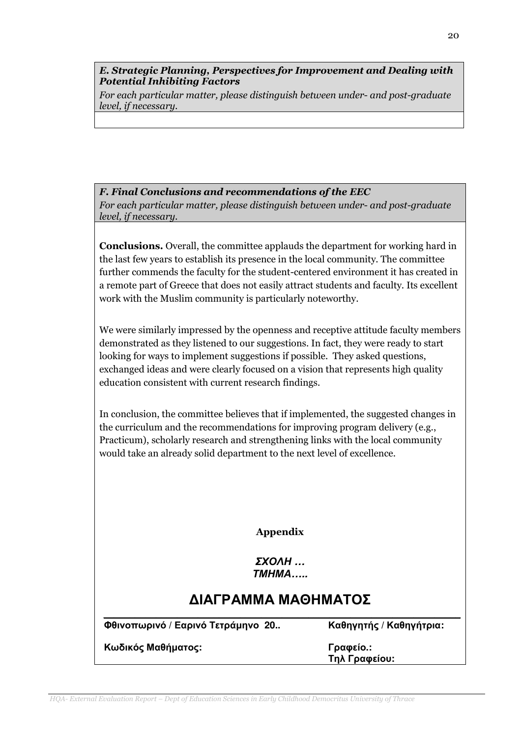E. Strategic Planning, Perspectives for Improvement and Dealing with Potential Inhibiting Factors

For each particular matter, please distinguish between under- and post-graduate level, if necessary.

#### F. Final Conclusions and recommendations of the EEC

For each particular matter, please distinguish between under- and post-graduate level, if necessary.

Conclusions. Overall, the committee applauds the department for working hard in the last few years to establish its presence in the local community. The committee further commends the faculty for the student-centered environment it has created in a remote part of Greece that does not easily attract students and faculty. Its excellent work with the Muslim community is particularly noteworthy.

We were similarly impressed by the openness and receptive attitude faculty members demonstrated as they listened to our suggestions. In fact, they were ready to start looking for ways to implement suggestions if possible. They asked questions, exchanged ideas and were clearly focused on a vision that represents high quality education consistent with current research findings.

In conclusion, the committee believes that if implemented, the suggested changes in the curriculum and the recommendations for improving program delivery (e.g., Practicum), scholarly research and strengthening links with the local community would take an already solid department to the next level of excellence.

Appendix

ΣΧΟΛΗ **…**  ΤΜΗΜΑ**…..** 

# ∆ΙΑΓΡΑΜΜΑ ΜΑΘΗΜΑΤΟΣ  $\mathcal{L}_\mathcal{L} = \mathcal{L}_\mathcal{L} = \mathcal{L}_\mathcal{L} = \mathcal{L}_\mathcal{L} = \mathcal{L}_\mathcal{L} = \mathcal{L}_\mathcal{L} = \mathcal{L}_\mathcal{L} = \mathcal{L}_\mathcal{L} = \mathcal{L}_\mathcal{L} = \mathcal{L}_\mathcal{L} = \mathcal{L}_\mathcal{L} = \mathcal{L}_\mathcal{L} = \mathcal{L}_\mathcal{L} = \mathcal{L}_\mathcal{L} = \mathcal{L}_\mathcal{L} = \mathcal{L}_\mathcal{L} = \mathcal{L}_\mathcal{L}$

Φθινοπωρινό **/** Εαρινό Τετράµηνο **20..** Καθηγητής **/** Καθηγήτρια**:**

Κωδικός Μαθήµατος**:** Γραφείο**.:**

Τηλ Γραφείου**:** 

20

HQA- External Evaluation Report – Dept of Education Sciences in Early Childhood Democritus University of Thrace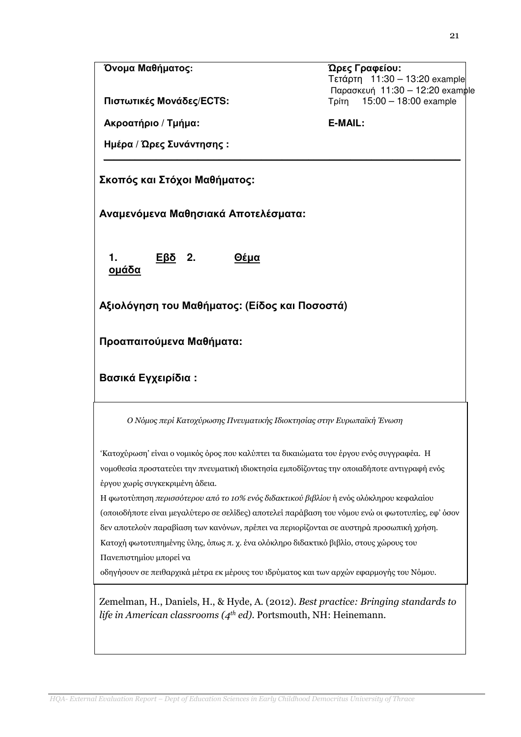#### Όνοµα Μαθήµατος**:** Ώρες Γραφείου**:**

Πιστωτικές Μονάδες**/ECTS:** Τρίτη 15:00 – 18:00 example

Ακροατήριο **/** Τµήµα**: E-MAIL:**

Ηµέρα **/** Ώρες Συνάντησης **:**   $\mathcal{L}_\mathcal{L} = \mathcal{L}_\mathcal{L} = \mathcal{L}_\mathcal{L} = \mathcal{L}_\mathcal{L} = \mathcal{L}_\mathcal{L} = \mathcal{L}_\mathcal{L} = \mathcal{L}_\mathcal{L} = \mathcal{L}_\mathcal{L} = \mathcal{L}_\mathcal{L} = \mathcal{L}_\mathcal{L} = \mathcal{L}_\mathcal{L} = \mathcal{L}_\mathcal{L} = \mathcal{L}_\mathcal{L} = \mathcal{L}_\mathcal{L} = \mathcal{L}_\mathcal{L} = \mathcal{L}_\mathcal{L} = \mathcal{L}_\mathcal{L}$ 

Σκοπός και Στόχοι Μαθήµατος**:**

Αναµενόµενα Μαθησιακά Αποτελέσµατα**:** 

**1.** Εβδ οµάδα

**2.** Θέµα

Αξιολόγηση του Μαθήµατος**: (**Είδος και Ποσοστά**)**

Προαπαιτούµενα Μαθήµατα**:** 

Βασικά Εγχειρίδια **:** 

Ο Νόµος περί Κατοχύρωσης Πνευµατικής Ιδιοκτησίας στην Ευρωπαϊκή Ένωση

'Κατοχύρωση' είναι ο νοµικός όρος που καλύπτει τα δικαιώµατα του έργου ενός συγγραφέα. Η νοµοθεσία προστατεύει την πνευµατική ιδιοκτησία εµποδίζοντας την οποιαδήποτε αντιγραφή ενός έργου χωρίς συγκεκριµένη άδεια.

(οποιοδήποτε είναι μεγαλύτερο σε σελίδες) αποτελεί παράβαση του νόμου ενώ οι φωτοτυπίες, εφ' όσον<br>. Πανεπιστημίου μπορεί να Η φωτοτύπηση περισσότερου από το 10% ενός διδακτικού βιβλίου ή ενός ολόκληρου κεφαλαίου δεν αποτελούν παραβίαση των κανόνων, πρέπει να περιορίζονται σε αυστηρά προσωπική χρήση. Κατοχή φωτοτυπηµένης ύλης, όπως π. χ. ένα ολόκληρο διδακτικό βιβλίο, στους χώρους του

οδηγήσουν σε πειθαρχικά μέτρα εκ μέρους του ιδρύματος και των αρχών εφαρμογής του Νόμου.

Zemelman, H., Daniels, H., & Hyde, A. (2012). Best practice: Bringing standards to life in American classrooms ( $4<sup>th</sup>$  ed). Portsmouth, NH: Heinemann.

Τετάρτη 11:30 – 13:20 example Παρασκευή 11:30 – 12:20 example